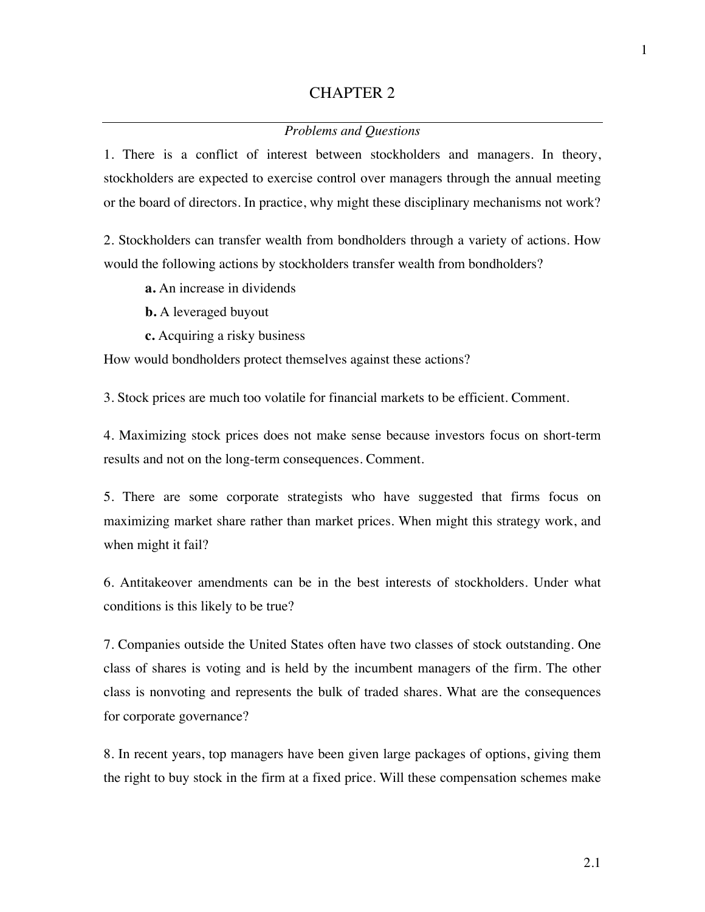## CHAPTER 2

## *Problems and Questions*

1. There is a conflict of interest between stockholders and managers. In theory, stockholders are expected to exercise control over managers through the annual meeting or the board of directors. In practice, why might these disciplinary mechanisms not work?

2. Stockholders can transfer wealth from bondholders through a variety of actions. How would the following actions by stockholders transfer wealth from bondholders?

- **a.** An increase in dividends
- **b.** A leveraged buyout
- **c.** Acquiring a risky business

How would bondholders protect themselves against these actions?

3. Stock prices are much too volatile for financial markets to be efficient. Comment.

4. Maximizing stock prices does not make sense because investors focus on short-term results and not on the long-term consequences. Comment.

5. There are some corporate strategists who have suggested that firms focus on maximizing market share rather than market prices. When might this strategy work, and when might it fail?

6. Antitakeover amendments can be in the best interests of stockholders. Under what conditions is this likely to be true?

7. Companies outside the United States often have two classes of stock outstanding. One class of shares is voting and is held by the incumbent managers of the firm. The other class is nonvoting and represents the bulk of traded shares. What are the consequences for corporate governance?

8. In recent years, top managers have been given large packages of options, giving them the right to buy stock in the firm at a fixed price. Will these compensation schemes make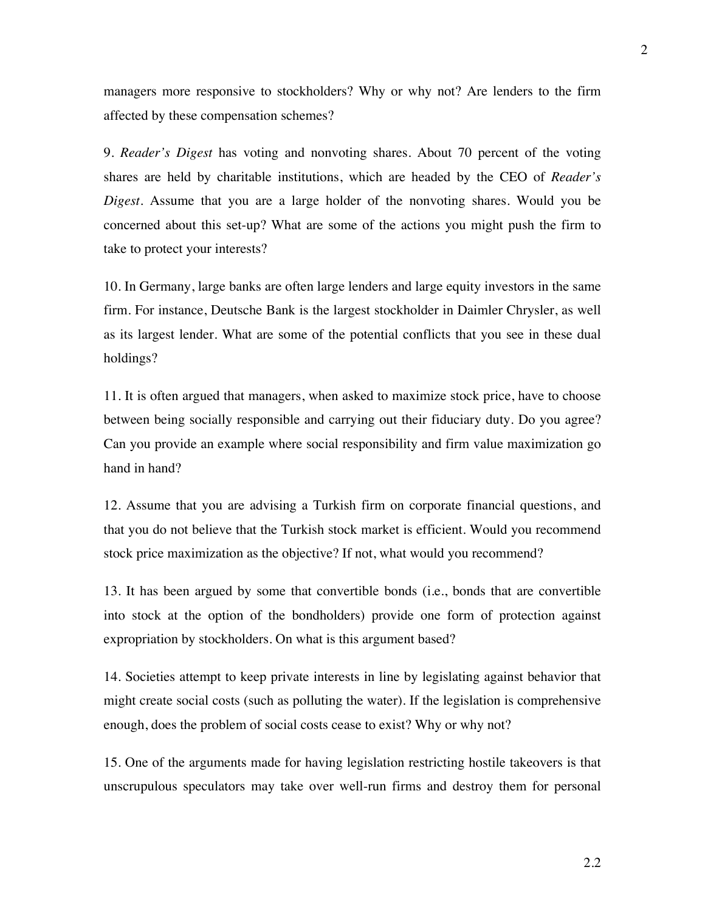managers more responsive to stockholders? Why or why not? Are lenders to the firm affected by these compensation schemes?

9. *Reader's Digest* has voting and nonvoting shares. About 70 percent of the voting shares are held by charitable institutions, which are headed by the CEO of *Reader's Digest*. Assume that you are a large holder of the nonvoting shares. Would you be concerned about this set-up? What are some of the actions you might push the firm to take to protect your interests?

10. In Germany, large banks are often large lenders and large equity investors in the same firm. For instance, Deutsche Bank is the largest stockholder in Daimler Chrysler, as well as its largest lender. What are some of the potential conflicts that you see in these dual holdings?

11. It is often argued that managers, when asked to maximize stock price, have to choose between being socially responsible and carrying out their fiduciary duty. Do you agree? Can you provide an example where social responsibility and firm value maximization go hand in hand?

12. Assume that you are advising a Turkish firm on corporate financial questions, and that you do not believe that the Turkish stock market is efficient. Would you recommend stock price maximization as the objective? If not, what would you recommend?

13. It has been argued by some that convertible bonds (i.e., bonds that are convertible into stock at the option of the bondholders) provide one form of protection against expropriation by stockholders. On what is this argument based?

14. Societies attempt to keep private interests in line by legislating against behavior that might create social costs (such as polluting the water). If the legislation is comprehensive enough, does the problem of social costs cease to exist? Why or why not?

15. One of the arguments made for having legislation restricting hostile takeovers is that unscrupulous speculators may take over well-run firms and destroy them for personal